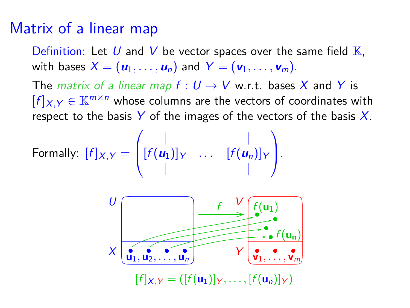### Matrix of a linear map

Definition: Let U and V be vector spaces over the same field  $K$ , with bases  $X = (\mathbf{u}_1, \dots, \mathbf{u}_n)$  and  $Y = (\mathbf{v}_1, \dots, \mathbf{v}_m)$ .

The *matrix of a linear map f* :  $U \rightarrow V$  w.r.t. bases X and Y is  $[f]_{X,Y} \in \mathbb{K}^{m \times n}$  whose columns are the vectors of coordinates with respect to the basis  $Y$  of the images of the vectors of the basis  $X$ .

Formally: 
$$
[f]_{X,Y} = \begin{pmatrix} | & | & | \\ [f(u_1)]_Y & \dots & [f(u_n)]_Y \\ | & | & | \end{pmatrix}
$$
.

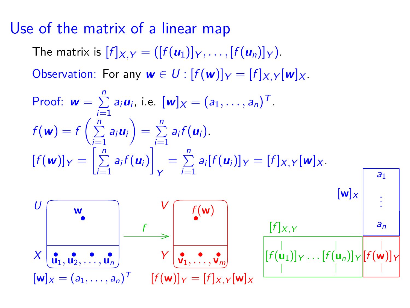## Use of the matrix of a linear map

The matrix is  $[f]_{X,Y} = (\lbrack f(u_1) \rbrack_Y, \ldots, \lbrack f(u_n) \rbrack_Y).$ 

Observation: For any  $w \in U$  :  $[f(w)]_Y = [f]_{X,Y}[w]_X$ .

Proof: 
$$
\mathbf{w} = \sum_{i=1}^{n} a_i \mathbf{u}_i
$$
, i.e.  $[\mathbf{w}] \times = (a_1, ..., a_n)^T$ .  
\n
$$
f(\mathbf{w}) = f\left(\sum_{i=1}^{n} a_i \mathbf{u}_i\right) = \sum_{i=1}^{n} a_i f(\mathbf{u}_i).
$$
\n
$$
[f(\mathbf{w})] \mathbf{v} = \left[\sum_{i=1}^{n} a_i f(\mathbf{u}_i)\right] \mathbf{v} = \sum_{i=1}^{n} a_i [f(\mathbf{u}_i)] \mathbf{v} = [f] \mathbf{x}, \mathbf{v} [\mathbf{w}] \mathbf{x}.
$$
\n
$$
\mathbf{w}
$$
\n
$$
\mathbf{w}
$$
\n
$$
\mathbf{w}
$$
\n
$$
\mathbf{w}
$$
\n
$$
\mathbf{w}
$$
\n
$$
\mathbf{w}
$$
\n
$$
\mathbf{w}
$$
\n
$$
\mathbf{w}
$$
\n
$$
\mathbf{w}
$$
\n
$$
\mathbf{w}
$$
\n
$$
\mathbf{w}
$$
\n
$$
\mathbf{w}
$$
\n
$$
\mathbf{w}
$$
\n
$$
\mathbf{w}
$$
\n
$$
\mathbf{w}
$$
\n
$$
\mathbf{w}
$$
\n
$$
\mathbf{w}
$$
\n
$$
\mathbf{w}
$$
\n
$$
\mathbf{w}
$$
\n
$$
\mathbf{w}
$$
\n
$$
\mathbf{w}
$$
\n
$$
\mathbf{w}
$$
\n
$$
\mathbf{w}
$$
\n
$$
\mathbf{w}
$$
\n
$$
\mathbf{w}
$$
\n
$$
\mathbf{w}
$$
\n
$$
\mathbf{w}
$$
\n
$$
\mathbf{w}
$$
\n
$$
\mathbf{w}
$$
\n
$$
\mathbf{w}
$$
\n
$$
\mathbf{w}
$$
\n
$$
\mathbf{w}
$$
\n
$$
\mathbf{w}
$$
\n
$$
\mathbf{w}
$$
\n
$$
\mathbf{w}
$$
\n
$$
\mathbf{w}
$$
\n
$$
\mathbf{w}
$$
\n
$$
\
$$

 $[{\sf w}]_X=(a_1,\ldots,a_n)^{\sf T}$   $[f({\sf w})]_Y=[f]_{X,Y}[{\sf w}]_X$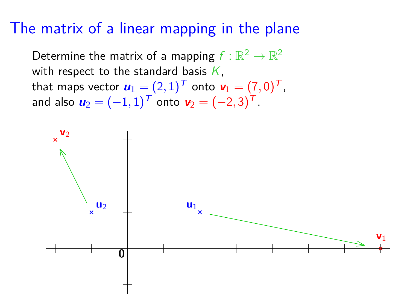### The matrix of a linear mapping in the plane

Determine the matrix of a mapping  $f:\mathbb{R}^2\to\mathbb{R}^2$ with respect to the standard basis  $K$ , that maps vector  $\boldsymbol{u}_1 = (2,1)^{\text{T}}$  onto  $\boldsymbol{v}_1 = (7,0)^{\text{T}}$ , and also  $u_2 = (-1, 1)^T$  onto  $v_2 = (-2, 3)^T$ .

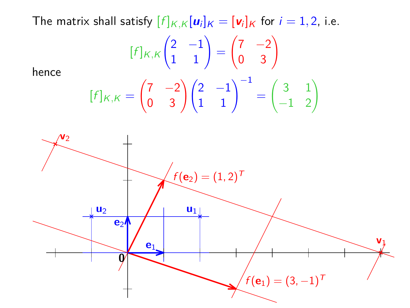The matrix shall satisfy  $[f]_{K,K}[\boldsymbol{u}_i]_K = [\boldsymbol{v}_i]_K$  for  $i = 1, 2$ , i.e.

$$
[f]_{K,K} \begin{pmatrix} 2 & -1 \\ 1 & 1 \end{pmatrix} = \begin{pmatrix} 7 & -2 \\ 0 & 3 \end{pmatrix}
$$

$$
[f]_{K,K} = \begin{pmatrix} 7 & -2 \\ 0 & 3 \end{pmatrix} \begin{pmatrix} 2 & -1 \\ 1 & 1 \end{pmatrix}^{-1} = \begin{pmatrix} 3 & 1 \\ -1 & 2 \end{pmatrix}
$$

hence

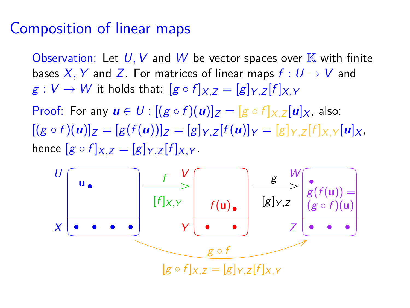### Composition of linear maps

Observation: Let  $U, V$  and  $W$  be vector spaces over  $K$  with finite bases X, Y and Z. For matrices of linear maps  $f: U \rightarrow V$  and  $g: V \to W$  it holds that:  $[g \circ f]_{X,Z} = [g]_{Y,Z}[f]_{X,Y}$ 

Proof: For any  $u \in U$  :  $[(g \circ f)(u)]_Z = [g \circ f]_{X,Z} [u]_X$ , also:  $[(g \circ f)(u)]_Z = [g(f(u))]_Z = [g]_{Y,Z}[f(u)]_Y = [g]_{Y,Z}[f]_{X,Y}[u]_X,$ hence  $[g \circ f]_{X,Z} = [g]_{Y,Z} [f]_{X,Y}$ .

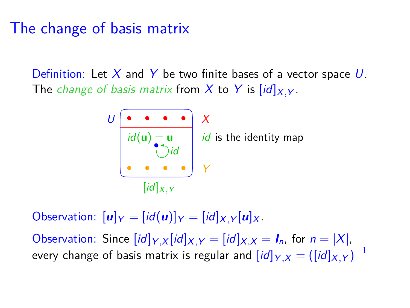## The change of basis matrix

Definition: Let  $X$  and  $Y$  be two finite bases of a vector space U. The *change of basis matrix* from X to Y is  $\left[\frac{id}{X}$   $\right]$ .



Observation:  $[\mathbf{u}]_Y = [id(\mathbf{u})]_Y = [id]_{X,Y} [\mathbf{u}]_X$ .

Observation: Since  $(id]_{Y,X}[id]_{X,Y} = [id]_{X,X} = I_n$ , for  $n = |X|$ , every change of basis matrix is regular and  $\overline{[\mathit{id}]_{Y,X}} = (\overline{[\mathit{id}]_{X,Y}})^{-1}$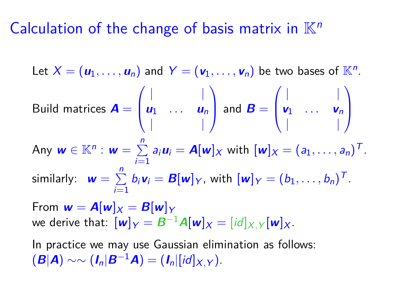## Calculation of the change of basis matrix in  $\mathbb{K}^n$

Let  $X = (\boldsymbol{u}_1, \dots, \boldsymbol{u}_n)$  and  $Y = (\boldsymbol{v}_1, \dots, \boldsymbol{v}_n)$  be two bases of  $\mathbb{K}^n$ . Build matrices **A** =  $\sqrt{ }$  $\overline{ }$ | |  $u_1$  ...  $u_n$ | | Y  $\int$  and  $\bm{B} =$  $\sqrt{ }$  $\overline{ }$ | |  $v_1$  ...  $v_n$ | | <sup>1</sup>  $\overline{\phantom{a}}$ Any  $w \in \mathbb{K}^n : w = \sum^{n}$  $\sum_{i=1}^{n} a_i u_i = \mathbf{A}[\mathbf{w}] \times \text{ with } [\mathbf{w}] \times = (a_1, \dots, a_n)^T.$ similarly:  $\mathbf{w} = \sum^{n}$  $\sum_{i=1}^{n} b_i \mathbf{v}_i = \mathbf{B}[\mathbf{w}] \gamma$ , with  $[\mathbf{w}] \gamma = (b_1, \dots, b_n)^T$ .

From  $w = A[w]_X = B[w]_Y$ we derive that:  $[w]_Y = B^{-1}A[w]_X = [id]_{X,Y}[w]_X$ .

In practice we may use Gaussian elimination as follows:  $(\mathbf{B}|\mathbf{A}) \sim \sim (\mathbf{I}_n|\mathbf{B}^{-1}\mathbf{A}) = (\mathbf{I}_n|[id]_{X|Y}).$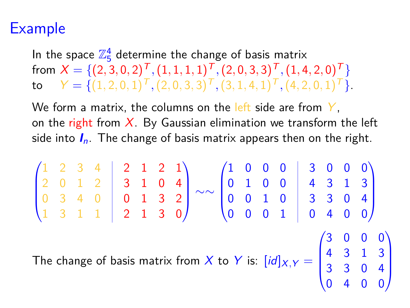# Example

In the space  $\mathbb{Z}_5^4$  determine the change of basis matrix  $\textsf{from}\,\,X=\{(2,3,0,2)^{\textsf{T}},(1,1,1,1)^{\textsf{T}},(2,0,3,3)^{\textsf{T}},(1,4,2,0)^{\textsf{T}}\}$  $\mathbf{Y} = \{ (1, 2, 0, 1)^T, (2, 0, 3, 3)^T, (3, 1, 4, 1)^T, (4, 2, 0, 1)^T \}.$ 

We form a matrix, the columns on the left side are from  $Y$ , on the right from  $X$ . By Gaussian elimination we transform the left side into  $I_n$ . The change of basis matrix appears then on the right.

$$
\begin{pmatrix}\n1 & 2 & 3 & 4 \\
2 & 0 & 1 & 2 \\
0 & 3 & 4 & 0 \\
1 & 3 & 1 & 1\n\end{pmatrix}\n\begin{pmatrix}\n2 & 1 & 2 & 1 \\
3 & 1 & 0 & 4 \\
0 & 1 & 3 & 2 \\
0 & 0 & 1 & 0\n\end{pmatrix}\n\sim\n\sim\n\begin{pmatrix}\n1 & 0 & 0 & 0 & 3 & 0 & 0 & 0 \\
0 & 1 & 0 & 0 & 4 & 3 & 1 & 3 \\
0 & 0 & 1 & 0 & 3 & 3 & 0 & 4 \\
0 & 0 & 0 & 1 & 0 & 4 & 0 & 0\n\end{pmatrix}
$$
\nThe change of basis matrix from X to Y is: 
$$
[id]_{X,Y} = \begin{pmatrix}\n3 & 0 & 0 & 0 & 0 \\
4 & 3 & 1 & 3 & 0 \\
3 & 3 & 0 & 4 & 0 \\
0 & 4 & 0 & 0 & 0\n\end{pmatrix}
$$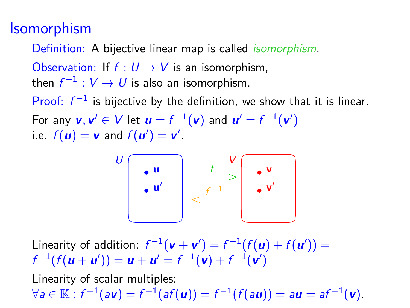## **Isomorphism**

Definition: A bijective linear map is called isomorphism.

Observation: If  $f: U \rightarrow V$  is an isomorphism,

then  $f^{-1}: V \to U$  is also an isomorphism.

Proof:  $f^{-1}$  is bijective by the definition, we show that it is linear. For any  $\mathsf{v},\mathsf{v}'\in\mathsf{V}$  let  $\mathsf{u}=\mathsf{f}^{-1}(\mathsf{v})$  and  $\mathsf{u}'=\mathsf{f}^{-1}(\mathsf{v}')$ i.e.  $f(\mathbf{u}) = \mathbf{v}$  and  $f(\mathbf{u}') = \mathbf{v}'$ .



Linearity of addition:  $f^{-1}(\mathbf{v} + \mathbf{v}') = f^{-1}(f(\mathbf{u}) + f(\mathbf{u}')) =$  $f^{-1}(f(u + u')) = u + u' = f^{-1}(v) + f^{-1}(v')$ 

Linearity of scalar multiples:  $\forall a \in \mathbb{K} : f^{-1}(a\mathbf{v}) = f^{-1}(af(\mathbf{u})) = f^{-1}(f(a\mathbf{u})) = a\mathbf{u} = af^{-1}(\mathbf{v}).$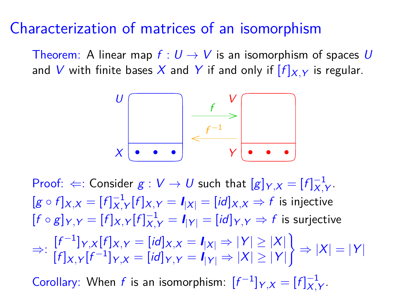#### Characterization of matrices of an isomorphism

Theorem: A linear map  $f: U \to V$  is an isomorphism of spaces U and V with finite bases X and Y if and only if  $[f]_{X,Y}$  is regular.



Proof:  $\Leftarrow$ : Consider  $g: V \to U$  such that  $[g]_{Y,X} = [f]_{X,Y}^{-1}$ .  $[g \circ f]_{X,X} = [f]_{X,Y}^{-1}[f]_{X,Y} = I_{|X|} = [id]_{X,X} \Rightarrow f$  is injective  $[f \circ g]_{Y,Y} = [f]_{X,Y}[f]_{X,Y}^{-1} = I_{|Y|} = [id]_{Y,Y} \Rightarrow f$  is surjective  $\Rightarrow$ :  $\frac{[f^{-1}]_{Y,X}[f]}{[f^{-1}]}_{X,Y} = \frac{[id]}{[d]}_{X,X} = \frac{I}{[X]} \Rightarrow |Y| \ge |X|$  $[f]_{X,Y}[f^{-1}]_{Y,X} = [id]_{Y,Y} = I_{|Y|} \Rightarrow |X| \ge |Y|$ )  $\Rightarrow$   $|X| = |Y|$ 

Corollary: When *f* is an isomorphism:  $[f^{-1}]_{Y,X} = [f]_{X,Y}^{-1}$ .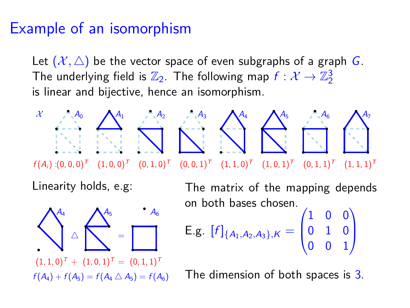### Example of an isomorphism

Let  $(\mathcal{X}, \triangle)$  be the vector space of even subgraphs of a graph G. The underlying field is  $\mathbb{Z}_2.$  The following map  $f:\mathcal{X}\rightarrow \mathbb{Z}_2^3$ is linear and bijective, hence an isomorphism.



Linearity holds, e.g:



The matrix of the mapping depends on both bases chosen.

E.g. 
$$
[f]_{\{A_1, A_2, A_3\},\kappa} = \begin{pmatrix} 1 & 0 & 0 \\ 0 & 1 & 0 \\ 0 & 0 & 1 \end{pmatrix}
$$

The dimension of both spaces is 3.